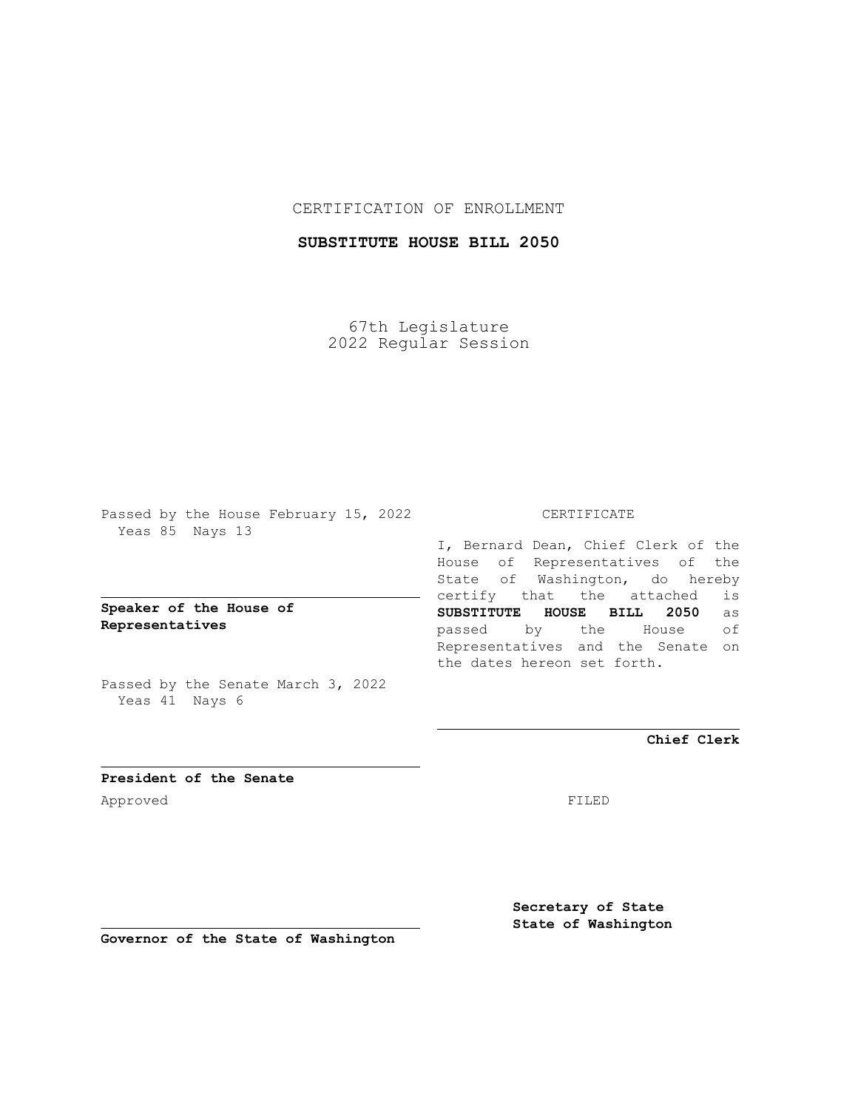## CERTIFICATION OF ENROLLMENT

# **SUBSTITUTE HOUSE BILL 2050**

67th Legislature 2022 Regular Session

Passed by the House February 15, 2022 Yeas 85 Nays 13

**Speaker of the House of Representatives**

Passed by the Senate March 3, 2022 Yeas 41 Nays 6

### CERTIFICATE

I, Bernard Dean, Chief Clerk of the House of Representatives of the State of Washington, do hereby certify that the attached is **SUBSTITUTE HOUSE BILL 2050** as passed by the House of Representatives and the Senate on the dates hereon set forth.

**Chief Clerk**

**President of the Senate** Approved FILED

**Secretary of State State of Washington**

**Governor of the State of Washington**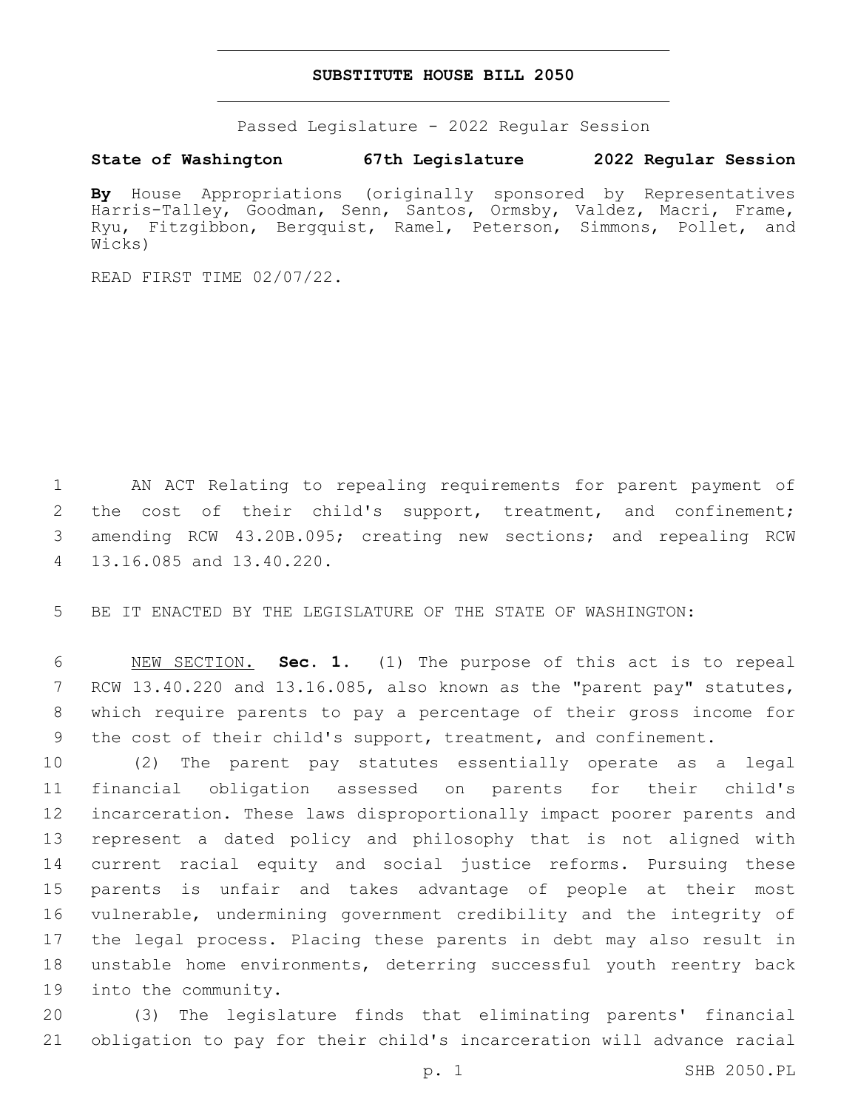#### **SUBSTITUTE HOUSE BILL 2050**

Passed Legislature - 2022 Regular Session

#### **State of Washington 67th Legislature 2022 Regular Session**

**By** House Appropriations (originally sponsored by Representatives Harris-Talley, Goodman, Senn, Santos, Ormsby, Valdez, Macri, Frame, Ryu, Fitzgibbon, Bergquist, Ramel, Peterson, Simmons, Pollet, and Wicks)

READ FIRST TIME 02/07/22.

 AN ACT Relating to repealing requirements for parent payment of the cost of their child's support, treatment, and confinement; amending RCW 43.20B.095; creating new sections; and repealing RCW 13.16.085 and 13.40.220.4

BE IT ENACTED BY THE LEGISLATURE OF THE STATE OF WASHINGTON:

 NEW SECTION. **Sec. 1.** (1) The purpose of this act is to repeal RCW 13.40.220 and 13.16.085, also known as the "parent pay" statutes, which require parents to pay a percentage of their gross income for the cost of their child's support, treatment, and confinement.

 (2) The parent pay statutes essentially operate as a legal financial obligation assessed on parents for their child's incarceration. These laws disproportionally impact poorer parents and represent a dated policy and philosophy that is not aligned with current racial equity and social justice reforms. Pursuing these parents is unfair and takes advantage of people at their most vulnerable, undermining government credibility and the integrity of the legal process. Placing these parents in debt may also result in unstable home environments, deterring successful youth reentry back 19 into the community.

 (3) The legislature finds that eliminating parents' financial obligation to pay for their child's incarceration will advance racial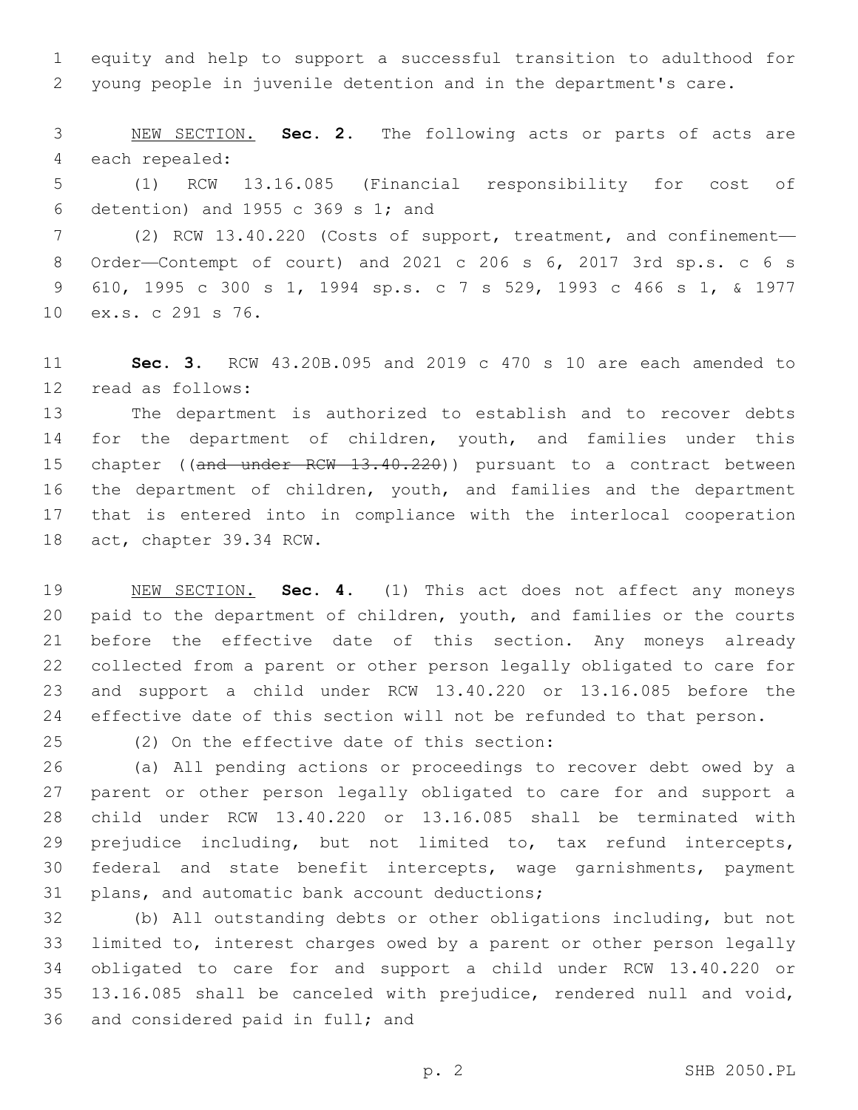equity and help to support a successful transition to adulthood for young people in juvenile detention and in the department's care.

 NEW SECTION. **Sec. 2.** The following acts or parts of acts are each repealed:

 (1) RCW 13.16.085 (Financial responsibility for cost of 6 detention) and 1955 c 369 s 1; and

 (2) RCW 13.40.220 (Costs of support, treatment, and confinement— Order—Contempt of court) and 2021 c 206 s 6, 2017 3rd sp.s. c 6 s 610, 1995 c 300 s 1, 1994 sp.s. c 7 s 529, 1993 c 466 s 1, & 1977 10 ex.s. c 291 s 76.

 **Sec. 3.** RCW 43.20B.095 and 2019 c 470 s 10 are each amended to read as follows:12

 The department is authorized to establish and to recover debts for the department of children, youth, and families under this 15 chapter ((and under RCW 13.40.220)) pursuant to a contract between the department of children, youth, and families and the department that is entered into in compliance with the interlocal cooperation 18 act, chapter 39.34 RCW.

 NEW SECTION. **Sec. 4.** (1) This act does not affect any moneys paid to the department of children, youth, and families or the courts before the effective date of this section. Any moneys already collected from a parent or other person legally obligated to care for and support a child under RCW 13.40.220 or 13.16.085 before the effective date of this section will not be refunded to that person.

(2) On the effective date of this section:25

 (a) All pending actions or proceedings to recover debt owed by a parent or other person legally obligated to care for and support a child under RCW 13.40.220 or 13.16.085 shall be terminated with prejudice including, but not limited to, tax refund intercepts, federal and state benefit intercepts, wage garnishments, payment 31 plans, and automatic bank account deductions;

 (b) All outstanding debts or other obligations including, but not limited to, interest charges owed by a parent or other person legally obligated to care for and support a child under RCW 13.40.220 or 13.16.085 shall be canceled with prejudice, rendered null and void, 36 and considered paid in full; and